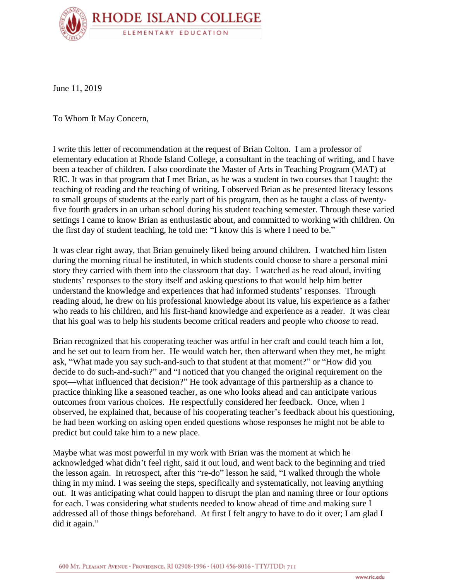

June 11, 2019

To Whom It May Concern,

I write this letter of recommendation at the request of Brian Colton. I am a professor of elementary education at Rhode Island College, a consultant in the teaching of writing, and I have been a teacher of children. I also coordinate the Master of Arts in Teaching Program (MAT) at RIC. It was in that program that I met Brian, as he was a student in two courses that I taught: the teaching of reading and the teaching of writing. I observed Brian as he presented literacy lessons to small groups of students at the early part of his program, then as he taught a class of twentyfive fourth graders in an urban school during his student teaching semester. Through these varied settings I came to know Brian as enthusiastic about, and committed to working with children. On the first day of student teaching, he told me: "I know this is where I need to be."

It was clear right away, that Brian genuinely liked being around children. I watched him listen during the morning ritual he instituted, in which students could choose to share a personal mini story they carried with them into the classroom that day. I watched as he read aloud, inviting students' responses to the story itself and asking questions to that would help him better understand the knowledge and experiences that had informed students' responses. Through reading aloud, he drew on his professional knowledge about its value, his experience as a father who reads to his children, and his first-hand knowledge and experience as a reader. It was clear that his goal was to help his students become critical readers and people who *choose* to read.

Brian recognized that his cooperating teacher was artful in her craft and could teach him a lot, and he set out to learn from her. He would watch her, then afterward when they met, he might ask, "What made you say such-and-such to that student at that moment?" or "How did you decide to do such-and-such?" and "I noticed that you changed the original requirement on the spot—what influenced that decision?" He took advantage of this partnership as a chance to practice thinking like a seasoned teacher, as one who looks ahead and can anticipate various outcomes from various choices. He respectfully considered her feedback. Once, when I observed, he explained that, because of his cooperating teacher's feedback about his questioning, he had been working on asking open ended questions whose responses he might not be able to predict but could take him to a new place.

Maybe what was most powerful in my work with Brian was the moment at which he acknowledged what didn't feel right, said it out loud, and went back to the beginning and tried the lesson again. In retrospect, after this "re-do" lesson he said, "I walked through the whole thing in my mind. I was seeing the steps, specifically and systematically, not leaving anything out. It was anticipating what could happen to disrupt the plan and naming three or four options for each. I was considering what students needed to know ahead of time and making sure I addressed all of those things beforehand. At first I felt angry to have to do it over; I am glad I did it again."